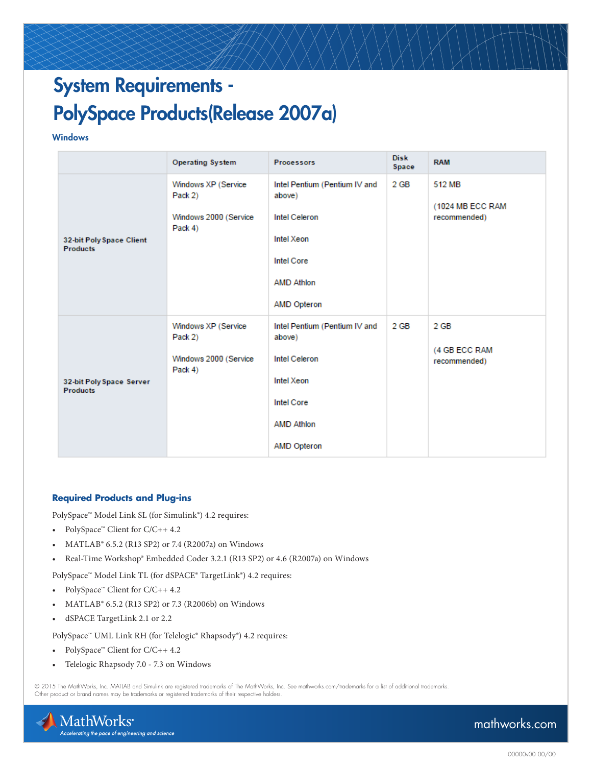# System Requirements - PolySpace Products(Release 2007a)

#### **Windows**

|                                             | <b>Operating System</b>                                            | <b>Processors</b>                                                                                                                      | <b>Disk</b><br>Space | <b>RAM</b>                                 |
|---------------------------------------------|--------------------------------------------------------------------|----------------------------------------------------------------------------------------------------------------------------------------|----------------------|--------------------------------------------|
| 32-bit Poly Space Client<br><b>Products</b> | Windows XP (Service<br>Pack 2)<br>Windows 2000 (Service<br>Pack 4) | Intel Pentium (Pentium IV and<br>above)<br><b>Intel Celeron</b><br>Intel Xeon<br>Intel Core<br><b>AMD Athlon</b><br><b>AMD Opteron</b> | 2 GB                 | 512 MB<br>(1024 MB ECC RAM<br>recommended) |
| 32-bit Poly Space Server<br><b>Products</b> | Windows XP (Service<br>Pack 2)<br>Windows 2000 (Service<br>Pack 4) | Intel Pentium (Pentium IV and<br>above)<br>Intel Celeron<br>Intel Xeon<br><b>Intel Core</b><br><b>AMD Athlon</b><br><b>AMD Opteron</b> | $2$ GB               | $2$ GB<br>(4 GB ECC RAM<br>recommended)    |

### **Required Products and Plug-ins**

PolySpace™ Model Link SL (for Simulink®) 4.2 requires:

- PolySpace™ Client for C/C++ 4.2
- MATLAB® 6.5.2 (R13 SP2) or 7.4 (R2007a) on Windows
- Real-Time Workshop® Embedded Coder 3.2.1 (R13 SP2) or 4.6 (R2007a) on Windows

PolySpace™ Model Link TL (for dSPACE® TargetLink®) 4.2 requires:

- PolySpace™ Client for C/C++ 4.2
- MATLAB® 6.5.2 (R13 SP2) or 7.3 (R2006b) on Windows
- dSPACE TargetLink 2.1 or 2.2

PolySpace™ UML Link RH (for Telelogic® Rhapsody®) 4.2 requires:

- PolySpace™ Client for C/C++ 4.2
- Telelogic Rhapsody 7.0 7.3 on Windows

© 2015 The MathWorks, Inc. MATLAB and Simulink are registered trademarks of The MathWorks, Inc. See mathworks.com/trademarks for a list of additional trademarks. Other product or brand names may be trademarks or registered trademarks of their respective holders.



## mathworks.com